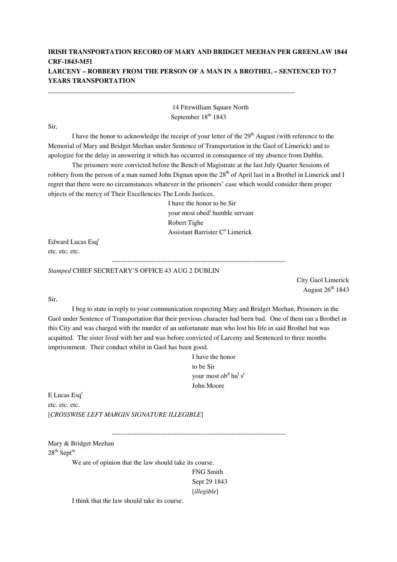## **IRISH TRANSPORTATION RECORD OF MARY AND BRIDGET MEEHAN PER GREENLAW 1844 CRF-1843-M51 LARCENY – ROBBERY FROM THE PERSON OF A MAN IN A BROTHEL – SENTENCED TO 7 YEARS TRANSPORTATION**

\_\_\_\_\_\_\_\_\_\_\_\_\_\_\_\_\_\_\_\_\_\_\_\_\_\_\_\_\_\_\_\_\_\_\_\_\_\_\_\_\_\_\_\_\_\_\_\_\_\_\_\_\_\_\_\_\_\_\_\_\_\_\_\_\_\_\_\_\_\_\_\_\_\_

14 Fitzwilliam Square North September 18<sup>th</sup> 1843

Sir,

I have the honor to acknowledge the receipt of your letter of the  $29<sup>th</sup>$  August (with reference to the Memorial of Mary and Bridget Meehan under Sentence of Transportation in the Gaol of Limerick) and to apologize for the delay in answering it which has occurred in consequence of my absence from Dublin.

 The prisoners were convicted before the Bench of Magistrate at the last July Quarter Sessions of robbery from the person of a man named John Dignan upon the 28<sup>th</sup> of April last in a Brothel in Limerick and I regret that there were no circumstances whatever in the prisoners' case which would consider them proper objects of the mercy of Their Excellencies The Lords Justices.

> I have the honor to be Sir your most obed<sup>t</sup> humble servant Robert Tighe Assistant Barrister C<sup>o</sup> Limerick

Edward Lucas Esq<sup>r</sup> etc. etc. etc.

------------------------------------------------------------------------------

*Stamped* CHIEF SECRETARY'S OFFICE 43 AUG 2 DUBLIN

City Gaol Limerick August  $26<sup>th</sup> 1843$ 

Sir,

 I beg to state in reply to your communication respecting Mary and Bridget Meehan, Prisoners in the Gaol under Sentence of Transportation that their previous character had been bad. One of them ran a Brothel in this City and was charged with the murder of an unfortunate man who lost his life in said Brothel but was acquitted. The sister lived with her and was before convicted of Larceny and Sentenced to three months imprisonment. Their conduct whilst in Gaol has been good.

> I have the honor to be Sir your most ob<sup>d</sup> hu<sup>l</sup> s<sup>t</sup> John Moore

E Lucas Esq<sup>r</sup> etc. etc. etc. [*CROSSWISE LEFT MARGIN SIGNATURE ILLEGIBLE*]

------------------------------------------------------------------------------

Mary & Bridget Meehan  $28^{th}$  Sept<sup>m</sup>

We are of opinion that the law should take its course.

FNG Smith Sept 29 1843 [*illegible*]

I think that the law should take its course.